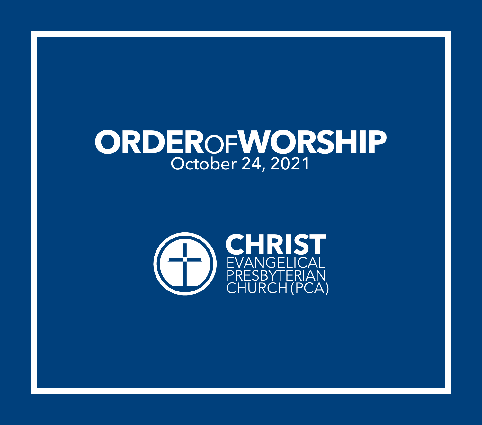# **ORDER**OF**WORSHIP** October 24, 2021

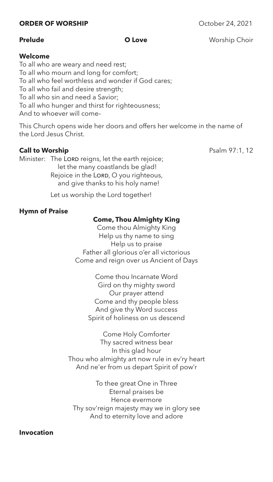### **ORDER OF WORSHIP** October 24, 2021

**Prelude CO Love CO Love** Worship Choir

#### **Welcome**

To all who are weary and need rest; To all who mourn and long for comfort; To all who feel worthless and wonder if God cares; To all who fail and desire strength; To all who sin and need a Savior; To all who hunger and thirst for righteousness; And to whoever will come–

This Church opens wide her doors and offers her welcome in the name of the Lord Jesus Christ.

# **Call to Worship** Psalm 97:1, 12

Minister: The LORD reigns, let the earth rejoice; let the many coastlands be glad! Rejoice in the LORD, O you righteous, and give thanks to his holy name!

Let us worship the Lord together!

# **Hymn of Praise**

# **Come, Thou Almighty King**

Come thou Almighty King Help us thy name to sing Help us to praise Father all glorious o'er all victorious Come and reign over us Ancient of Days

> Come thou Incarnate Word Gird on thy mighty sword Our prayer attend Come and thy people bless And give thy Word success Spirit of holiness on us descend

Come Holy Comforter Thy sacred witness bear In this glad hour Thou who almighty art now rule in ev'ry heart And ne'er from us depart Spirit of pow'r

To thee great One in Three Eternal praises be Hence evermore Thy sov'reign majesty may we in glory see And to eternity love and adore

**Invocation**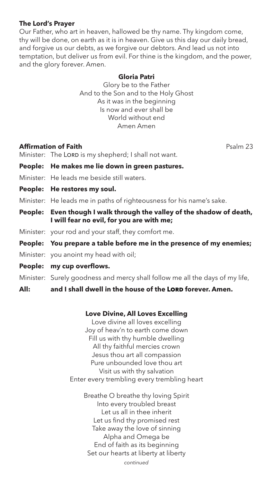# **The Lord's Prayer**

Our Father, who art in heaven, hallowed be thy name. Thy kingdom come, thy will be done, on earth as it is in heaven. Give us this day our daily bread, and forgive us our debts, as we forgive our debtors. And lead us not into temptation, but deliver us from evil. For thine is the kingdom, and the power, and the glory forever. Amen.

### **Gloria Patri**

Glory be to the Father And to the Son and to the Holy Ghost As it was in the beginning Is now and ever shall be World without end Amen Amen

# **Affirmation of Faith Psalm 23**

Minister: The LORD is my shepherd; I shall not want.

- **People: He makes me lie down in green pastures.**
- Minister: He leads me beside still waters.
- **People: He restores my soul.**

Minister: He leads me in paths of righteousness for his name's sake.

- **People: Even though I walk through the valley of the shadow of death, I will fear no evil, for you are with me;**
- Minister: your rod and your staff, they comfort me.

# **People: You prepare a table before me in the presence of my enemies;**

- Minister: you anoint my head with oil;
- **People: my cup overflows.**

Minister: Surely goodness and mercy shall follow me all the days of my life,

# All: and I shall dwell in the house of the LORD forever. Amen.

### **Love Divine, All Loves Excelling**

Love divine all loves excelling Joy of heav'n to earth come down Fill us with thy humble dwelling All thy faithful mercies crown Jesus thou art all compassion Pure unbounded love thou art Visit us with thy salvation Enter every trembling every trembling heart

Breathe O breathe thy loving Spirit Into every troubled breast Let us all in thee inherit Let us find thy promised rest Take away the love of sinning Alpha and Omega be End of faith as its beginning Set our hearts at liberty at liberty

*continued*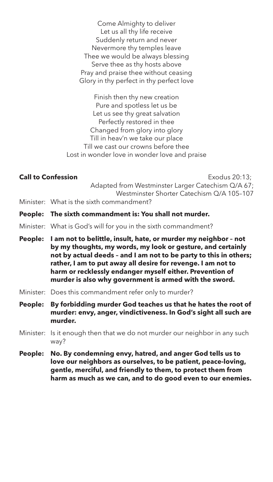Come Almighty to deliver Let us all thy life receive Suddenly return and never Nevermore thy temples leave Thee we would be always blessing Serve thee as thy hosts above Pray and praise thee without ceasing Glory in thy perfect in thy perfect love

Finish then thy new creation Pure and spotless let us be Let us see thy great salvation Perfectly restored in thee Changed from glory into glory Till in heav'n we take our place Till we cast our crowns before thee Lost in wonder love in wonder love and praise

**Call to Confession Call to Confession** Adapted from Westminster Larger Catechism Q/A 67; Westminster Shorter Catechism Q/A 105–107 Minister: What is the sixth commandment?

- **People: The sixth commandment is: You shall not murder.**
- Minister: What is God's will for you in the sixth commandment?
- **People: I am not to belittle, insult, hate, or murder my neighbor not by my thoughts, my words, my look or gesture, and certainly not by actual deeds – and I am not to be party to this in others; rather, I am to put away all desire for revenge. I am not to harm or recklessly endanger myself either. Prevention of murder is also why government is armed with the sword.**
- Minister: Does this commandment refer only to murder?
- **People: By forbidding murder God teaches us that he hates the root of murder: envy, anger, vindictiveness. In God's sight all such are murder.**
- Minister: Is it enough then that we do not murder our neighbor in any such way?
- **People: No. By condemning envy, hatred, and anger God tells us to love our neighbors as ourselves, to be patient, peace-loving, gentle, merciful, and friendly to them, to protect them from harm as much as we can, and to do good even to our enemies.**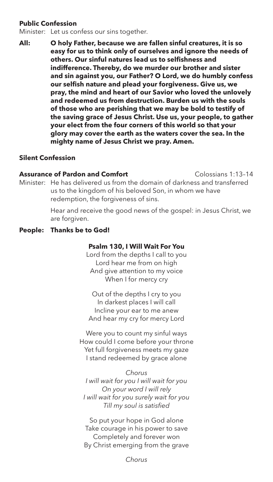# **Public Confession**

Minister: Let us confess our sins together.

**All: O holy Father, because we are fallen sinful creatures, it is so easy for us to think only of ourselves and ignore the needs of others. Our sinful natures lead us to selfishness and indifference. Thereby, do we murder our brother and sister and sin against you, our Father? O Lord, we do humbly confess our selfish nature and plead your forgiveness. Give us, we pray, the mind and heart of our Savior who loved the unlovely and redeemed us from destruction. Burden us with the souls of those who are perishing that we may be bold to testify of the saving grace of Jesus Christ. Use us, your people, to gather your elect from the four corners of this world so that your glory may cover the earth as the waters cover the sea. In the mighty name of Jesus Christ we pray. Amen.**

### **Silent Confession**

#### **Assurance of Pardon and Comfort** Colossians 1:13-14

Minister: He has delivered us from the domain of darkness and transferred us to the kingdom of his beloved Son, in whom we have redemption, the forgiveness of sins.

> Hear and receive the good news of the gospel: in Jesus Christ, we are forgiven.

#### **People: Thanks be to God!**

#### **Psalm 130, I Will Wait For You**

Lord from the depths I call to you Lord hear me from on high And give attention to my voice When I for mercy cry

Out of the depths I cry to you In darkest places I will call Incline your ear to me anew And hear my cry for mercy Lord

Were you to count my sinful ways How could I come before your throne Yet full forgiveness meets my gaze I stand redeemed by grace alone

*Chorus I will wait for you I will wait for you On your word I will rely I will wait for you surely wait for you Till my soul is satisfied*

So put your hope in God alone Take courage in his power to save Completely and forever won By Christ emerging from the grave

*Chorus*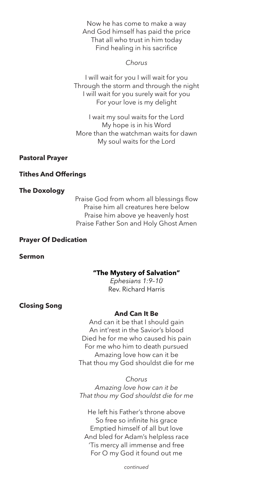Now he has come to make a way And God himself has paid the price That all who trust in him today Find healing in his sacrifice

*Chorus*

I will wait for you I will wait for you Through the storm and through the night I will wait for you surely wait for you For your love is my delight

I wait my soul waits for the Lord My hope is in his Word More than the watchman waits for dawn My soul waits for the Lord

### **Pastoral Prayer**

# **Tithes And Offerings**

### **The Doxology**

Praise God from whom all blessings flow Praise him all creatures here below Praise him above ye heavenly host Praise Father Son and Holy Ghost Amen

## **Prayer Of Dedication**

**Sermon** 

### **"The Mystery of Salvation"**

*Ephesians 1:9–10* Rev. Richard Harris

# **Closing Song**

### **And Can It Be**

And can it be that I should gain An int'rest in the Savior's blood Died he for me who caused his pain For me who him to death pursued Amazing love how can it be That thou my God shouldst die for me

*Chorus Amazing love how can it be That thou my God shouldst die for me*

He left his Father's throne above So free so infinite his grace Emptied himself of all but love And bled for Adam's helpless race 'Tis mercy all immense and free For O my God it found out me